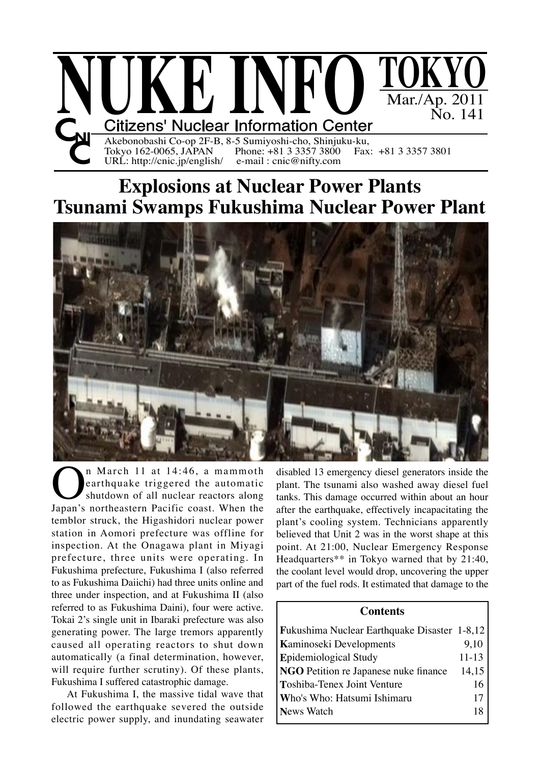

# **Explosions at Nuclear Power Plants Tsunami Swamps Fukushima Nuclear Power Plant**



**On** March 11 at 14:46, a mammoth<br>
shutdown of all nuclear reactors along<br>
Japan's northeastern Pacific coast. When the earthquake triggered the automatic shutdown of all nuclear reactors along temblor struck, the Higashidori nuclear power station in Aomori prefecture was offline for inspection. At the Onagawa plant in Miyagi prefecture, three units were operating. In Fukushima prefecture, Fukushima I (also referred to as Fukushima Daiichi) had three units online and three under inspection, and at Fukushima II (also referred to as Fukushima Daini), four were active. Tokai 2's single unit in Ibaraki prefecture was also generating power. The large tremors apparently caused all operating reactors to shut down automatically (a final determination, however, will require further scrutiny). Of these plants, Fukushima I suffered catastrophic damage.

URL: http://cnic.jp/english/

At Fukushima I, the massive tidal wave that followed the earthquake severed the outside electric power supply, and inundating seawater

disabled 13 emergency diesel generators inside the plant. The tsunami also washed away diesel fuel tanks. This damage occurred within about an hour after the earthquake, effectively incapacitating the plant's cooling system. Technicians apparently believed that Unit 2 was in the worst shape at this point. At 21:00, Nuclear Emergency Response Headquarters\*\* in Tokyo warned that by 21:40, the coolant level would drop, uncovering the upper part of the fuel rods. It estimated that damage to the

## **Contents**

| <b>Fukushima Nuclear Earthquake Disaster 1-8,12</b> |           |
|-----------------------------------------------------|-----------|
| <b>Kaminoseki Developments</b>                      | 9,10      |
| <b>Epidemiological Study</b>                        | $11 - 13$ |
| NGO Petition re Japanese nuke finance               | 14,15     |
| Toshiba-Tenex Joint Venture                         | 16        |
| Who's Who: Hatsumi Ishimaru                         | 17        |
| News Watch                                          | 18        |
|                                                     |           |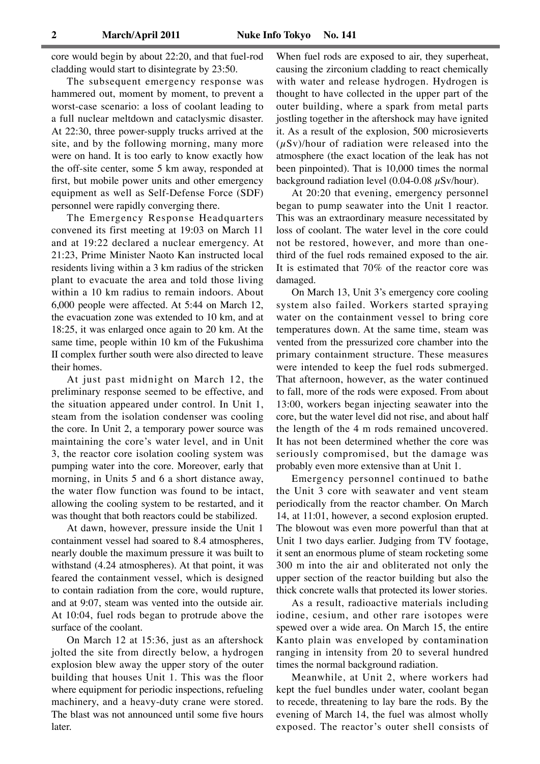core would begin by about 22:20, and that fuel-rod cladding would start to disintegrate by 23:50.

The subsequent emergency response was hammered out, moment by moment, to prevent a worst-case scenario: a loss of coolant leading to a full nuclear meltdown and cataclysmic disaster. At 22:30, three power-supply trucks arrived at the site, and by the following morning, many more were on hand. It is too early to know exactly how the off-site center, some 5 km away, responded at first, but mobile power units and other emergency equipment as well as Self-Defense Force (SDF) personnel were rapidly converging there.

The Emergency Response Headquarters convened its first meeting at 19:03 on March 11 and at 19:22 declared a nuclear emergency. At 21:23, Prime Minister Naoto Kan instructed local residents living within a 3 km radius of the stricken plant to evacuate the area and told those living within a 10 km radius to remain indoors. About 6,000 people were affected. At 5:44 on March 12, the evacuation zone was extended to 10 km, and at 18:25, it was enlarged once again to 20 km. At the same time, people within 10 km of the Fukushima II complex further south were also directed to leave their homes.

At just past midnight on March 12, the preliminary response seemed to be effective, and the situation appeared under control. In Unit 1, steam from the isolation condenser was cooling the core. In Unit 2, a temporary power source was maintaining the core's water level, and in Unit 3, the reactor core isolation cooling system was pumping water into the core. Moreover, early that morning, in Units 5 and 6 a short distance away, the water flow function was found to be intact, allowing the cooling system to be restarted, and it was thought that both reactors could be stabilized.

At dawn, however, pressure inside the Unit 1 containment vessel had soared to 8.4 atmospheres, nearly double the maximum pressure it was built to withstand (4.24 atmospheres). At that point, it was feared the containment vessel, which is designed to contain radiation from the core, would rupture, and at 9:07, steam was vented into the outside air. At 10:04, fuel rods began to protrude above the surface of the coolant.

On March 12 at 15:36, just as an aftershock jolted the site from directly below, a hydrogen explosion blew away the upper story of the outer building that houses Unit 1. This was the floor where equipment for periodic inspections, refueling machinery, and a heavy-duty crane were stored. The blast was not announced until some five hours later.

When fuel rods are exposed to air, they superheat, causing the zirconium cladding to react chemically with water and release hydrogen. Hydrogen is thought to have collected in the upper part of the outer building, where a spark from metal parts jostling together in the aftershock may have ignited it. As a result of the explosion, 500 microsieverts  $(\mu Sv)$ /hour of radiation were released into the atmosphere (the exact location of the leak has not been pinpointed). That is 10,000 times the normal background radiation level  $(0.04-0.08 \mu Sv/hour)$ .

At 20:20 that evening, emergency personnel began to pump seawater into the Unit 1 reactor. This was an extraordinary measure necessitated by loss of coolant. The water level in the core could not be restored, however, and more than onethird of the fuel rods remained exposed to the air. It is estimated that 70% of the reactor core was damaged.

On March 13, Unit 3's emergency core cooling system also failed. Workers started spraying water on the containment vessel to bring core temperatures down. At the same time, steam was vented from the pressurized core chamber into the primary containment structure. These measures were intended to keep the fuel rods submerged. That afternoon, however, as the water continued to fall, more of the rods were exposed. From about 13:00, workers began injecting seawater into the core, but the water level did not rise, and about half the length of the 4 m rods remained uncovered. It has not been determined whether the core was seriously compromised, but the damage was probably even more extensive than at Unit 1.

Emergency personnel continued to bathe the Unit 3 core with seawater and vent steam periodically from the reactor chamber. On March 14, at 11:01, however, a second explosion erupted. The blowout was even more powerful than that at Unit 1 two days earlier. Judging from TV footage, it sent an enormous plume of steam rocketing some 300 m into the air and obliterated not only the upper section of the reactor building but also the thick concrete walls that protected its lower stories.

As a result, radioactive materials including iodine, cesium, and other rare isotopes were spewed over a wide area. On March 15, the entire Kanto plain was enveloped by contamination ranging in intensity from 20 to several hundred times the normal background radiation.

Meanwhile, at Unit 2, where workers had kept the fuel bundles under water, coolant began to recede, threatening to lay bare the rods. By the evening of March 14, the fuel was almost wholly exposed. The reactor's outer shell consists of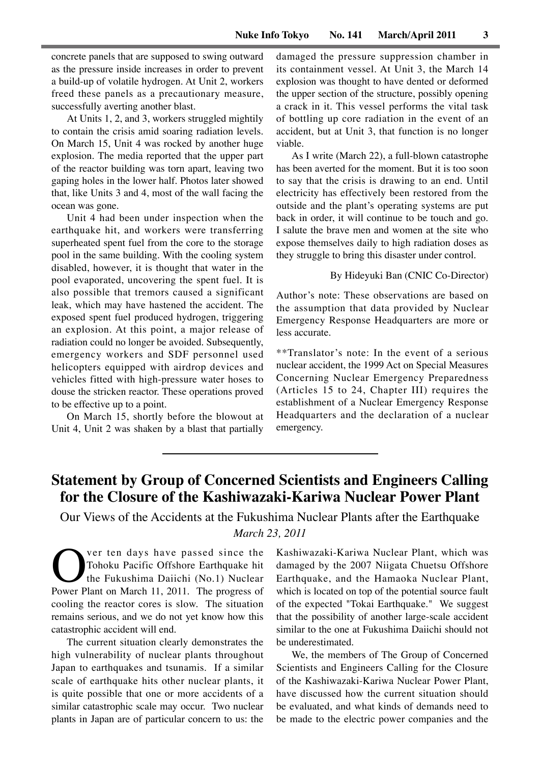concrete panels that are supposed to swing outward as the pressure inside increases in order to prevent a build-up of volatile hydrogen. At Unit 2, workers freed these panels as a precautionary measure, successfully averting another blast.

At Units 1, 2, and 3, workers struggled mightily to contain the crisis amid soaring radiation levels. On March 15, Unit 4 was rocked by another huge explosion. The media reported that the upper part of the reactor building was torn apart, leaving two gaping holes in the lower half. Photos later showed that, like Units 3 and 4, most of the wall facing the ocean was gone.

Unit 4 had been under inspection when the earthquake hit, and workers were transferring superheated spent fuel from the core to the storage pool in the same building. With the cooling system disabled, however, it is thought that water in the pool evaporated, uncovering the spent fuel. It is also possible that tremors caused a significant leak, which may have hastened the accident. The exposed spent fuel produced hydrogen, triggering an explosion. At this point, a major release of radiation could no longer be avoided. Subsequently, emergency workers and SDF personnel used helicopters equipped with airdrop devices and vehicles fitted with high-pressure water hoses to douse the stricken reactor. These operations proved to be effective up to a point.

On March 15, shortly before the blowout at Unit 4, Unit 2 was shaken by a blast that partially

damaged the pressure suppression chamber in its containment vessel. At Unit 3, the March 14 explosion was thought to have dented or deformed the upper section of the structure, possibly opening a crack in it. This vessel performs the vital task of bottling up core radiation in the event of an accident, but at Unit 3, that function is no longer viable.

As I write (March 22), a full-blown catastrophe has been averted for the moment. But it is too soon to say that the crisis is drawing to an end. Until electricity has effectively been restored from the outside and the plant's operating systems are put back in order, it will continue to be touch and go. I salute the brave men and women at the site who expose themselves daily to high radiation doses as they struggle to bring this disaster under control.

#### By Hideyuki Ban (CNIC Co-Director)

Author's note: These observations are based on the assumption that data provided by Nuclear Emergency Response Headquarters are more or less accurate.

\*\*Translator's note: In the event of a serious nuclear accident, the 1999 Act on Special Measures Concerning Nuclear Emergency Preparedness (Articles 15 to 24, Chapter III) requires the establishment of a Nuclear Emergency Response Headquarters and the declaration of a nuclear emergency.

# **Statement by Group of Concerned Scientists and Engineers Calling for the Closure of the Kashiwazaki-Kariwa Nuclear Power Plant**

Our Views of the Accidents at the Fukushima Nuclear Plants after the Earthquake *March 23, 2011*

Over ten days have passed since the<br>
Tohoku Pacific Offshore Earthquake hit<br>
Power Plant on March 11, 2011. The progress of Tohoku Pacific Offshore Earthquake hit the Fukushima Daiichi (No.1) Nuclear cooling the reactor cores is slow. The situation remains serious, and we do not yet know how this catastrophic accident will end.

The current situation clearly demonstrates the high vulnerability of nuclear plants throughout Japan to earthquakes and tsunamis. If a similar scale of earthquake hits other nuclear plants, it is quite possible that one or more accidents of a similar catastrophic scale may occur. Two nuclear plants in Japan are of particular concern to us: the

Kashiwazaki-Kariwa Nuclear Plant, which was damaged by the 2007 Niigata Chuetsu Offshore Earthquake, and the Hamaoka Nuclear Plant, which is located on top of the potential source fault of the expected "Tokai Earthquake." We suggest that the possibility of another large-scale accident similar to the one at Fukushima Daiichi should not be underestimated.

We, the members of The Group of Concerned Scientists and Engineers Calling for the Closure of the Kashiwazaki-Kariwa Nuclear Power Plant, have discussed how the current situation should be evaluated, and what kinds of demands need to be made to the electric power companies and the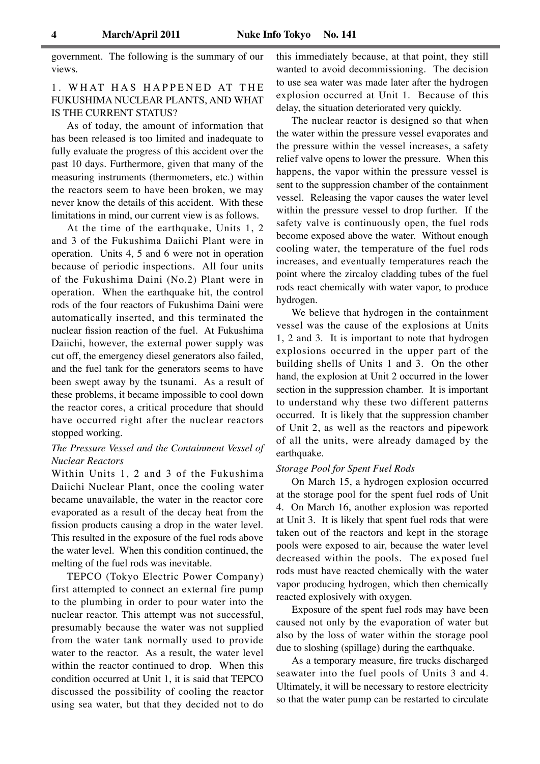government. The following is the summary of our views.

# 1. WHAT HAS HAPPENED AT THE FUKUSHIMA NUCLEAR PLANTS, AND WHAT IS THE CURRENT STATUS?

As of today, the amount of information that has been released is too limited and inadequate to fully evaluate the progress of this accident over the past 10 days. Furthermore, given that many of the measuring instruments (thermometers, etc.) within the reactors seem to have been broken, we may never know the details of this accident. With these limitations in mind, our current view is as follows.

At the time of the earthquake, Units 1, 2 and 3 of the Fukushima Daiichi Plant were in operation. Units 4, 5 and 6 were not in operation because of periodic inspections. All four units of the Fukushima Daini (No.2) Plant were in operation. When the earthquake hit, the control rods of the four reactors of Fukushima Daini were automatically inserted, and this terminated the nuclear fission reaction of the fuel. At Fukushima Daiichi, however, the external power supply was cut off, the emergency diesel generators also failed, and the fuel tank for the generators seems to have been swept away by the tsunami. As a result of these problems, it became impossible to cool down the reactor cores, a critical procedure that should have occurred right after the nuclear reactors stopped working.

### *The Pressure Vessel and the Containment Vessel of Nuclear Reactors*

Within Units 1, 2 and 3 of the Fukushima Daiichi Nuclear Plant, once the cooling water became unavailable, the water in the reactor core evaporated as a result of the decay heat from the fission products causing a drop in the water level. This resulted in the exposure of the fuel rods above the water level. When this condition continued, the melting of the fuel rods was inevitable.

TEPCO (Tokyo Electric Power Company) first attempted to connect an external fire pump to the plumbing in order to pour water into the nuclear reactor. This attempt was not successful, presumably because the water was not supplied from the water tank normally used to provide water to the reactor. As a result, the water level within the reactor continued to drop. When this condition occurred at Unit 1, it is said that TEPCO discussed the possibility of cooling the reactor using sea water, but that they decided not to do

this immediately because, at that point, they still wanted to avoid decommissioning. The decision to use sea water was made later after the hydrogen explosion occurred at Unit 1. Because of this delay, the situation deteriorated very quickly.

The nuclear reactor is designed so that when the water within the pressure vessel evaporates and the pressure within the vessel increases, a safety relief valve opens to lower the pressure. When this happens, the vapor within the pressure vessel is sent to the suppression chamber of the containment vessel. Releasing the vapor causes the water level within the pressure vessel to drop further. If the safety valve is continuously open, the fuel rods become exposed above the water. Without enough cooling water, the temperature of the fuel rods increases, and eventually temperatures reach the point where the zircaloy cladding tubes of the fuel rods react chemically with water vapor, to produce hydrogen.

We believe that hydrogen in the containment vessel was the cause of the explosions at Units 1, 2 and 3. It is important to note that hydrogen explosions occurred in the upper part of the building shells of Units 1 and 3. On the other hand, the explosion at Unit 2 occurred in the lower section in the suppression chamber. It is important to understand why these two different patterns occurred. It is likely that the suppression chamber of Unit 2, as well as the reactors and pipework of all the units, were already damaged by the earthquake.

### *Storage Pool for Spent Fuel Rods*

On March 15, a hydrogen explosion occurred at the storage pool for the spent fuel rods of Unit 4. On March 16, another explosion was reported at Unit 3. It is likely that spent fuel rods that were taken out of the reactors and kept in the storage pools were exposed to air, because the water level decreased within the pools. The exposed fuel rods must have reacted chemically with the water vapor producing hydrogen, which then chemically reacted explosively with oxygen.

Exposure of the spent fuel rods may have been caused not only by the evaporation of water but also by the loss of water within the storage pool due to sloshing (spillage) during the earthquake.

As a temporary measure, fire trucks discharged seawater into the fuel pools of Units 3 and 4. Ultimately, it will be necessary to restore electricity so that the water pump can be restarted to circulate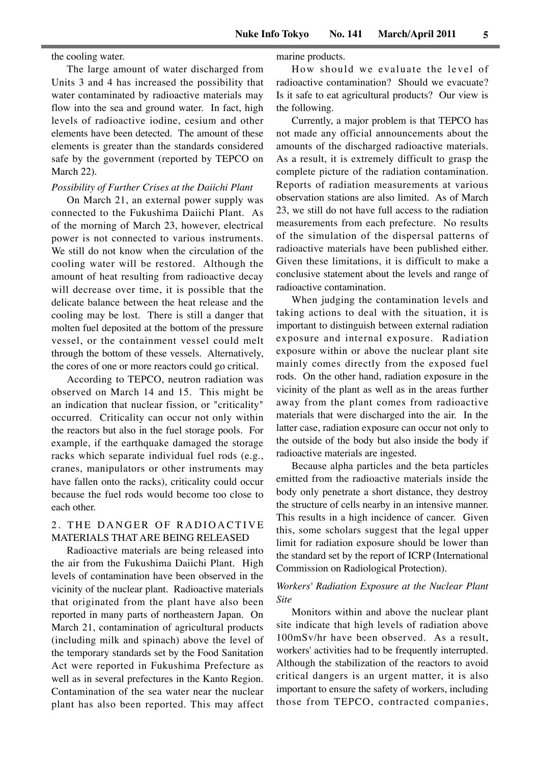the cooling water.

The large amount of water discharged from Units 3 and 4 has increased the possibility that water contaminated by radioactive materials may flow into the sea and ground water. In fact, high levels of radioactive iodine, cesium and other elements have been detected. The amount of these elements is greater than the standards considered safe by the government (reported by TEPCO on March 22).

#### *Possibility of Further Crises at the Daiichi Plant*

On March 21, an external power supply was connected to the Fukushima Daiichi Plant. As of the morning of March 23, however, electrical power is not connected to various instruments. We still do not know when the circulation of the cooling water will be restored. Although the amount of heat resulting from radioactive decay will decrease over time, it is possible that the delicate balance between the heat release and the cooling may be lost. There is still a danger that molten fuel deposited at the bottom of the pressure vessel, or the containment vessel could melt through the bottom of these vessels. Alternatively, the cores of one or more reactors could go critical.

According to TEPCO, neutron radiation was observed on March 14 and 15. This might be an indication that nuclear fission, or "criticality" occurred. Criticality can occur not only within the reactors but also in the fuel storage pools. For example, if the earthquake damaged the storage racks which separate individual fuel rods (e.g., cranes, manipulators or other instruments may have fallen onto the racks), criticality could occur because the fuel rods would become too close to each other.

### 2. THE DANGER OF RADIOACTIVE MATERIALS THAT ARE BEING RELEASED

Radioactive materials are being released into the air from the Fukushima Daiichi Plant. High levels of contamination have been observed in the vicinity of the nuclear plant. Radioactive materials that originated from the plant have also been reported in many parts of northeastern Japan. On March 21, contamination of agricultural products (including milk and spinach) above the level of the temporary standards set by the Food Sanitation Act were reported in Fukushima Prefecture as well as in several prefectures in the Kanto Region. Contamination of the sea water near the nuclear plant has also been reported. This may affect marine products.

How should we evaluate the level of radioactive contamination? Should we evacuate? Is it safe to eat agricultural products? Our view is the following.

Currently, a major problem is that TEPCO has not made any official announcements about the amounts of the discharged radioactive materials. As a result, it is extremely difficult to grasp the complete picture of the radiation contamination. Reports of radiation measurements at various observation stations are also limited. As of March 23, we still do not have full access to the radiation measurements from each prefecture. No results of the simulation of the dispersal patterns of radioactive materials have been published either. Given these limitations, it is difficult to make a conclusive statement about the levels and range of radioactive contamination.

When judging the contamination levels and taking actions to deal with the situation, it is important to distinguish between external radiation exposure and internal exposure. Radiation exposure within or above the nuclear plant site mainly comes directly from the exposed fuel rods. On the other hand, radiation exposure in the vicinity of the plant as well as in the areas further away from the plant comes from radioactive materials that were discharged into the air. In the latter case, radiation exposure can occur not only to the outside of the body but also inside the body if radioactive materials are ingested.

Because alpha particles and the beta particles emitted from the radioactive materials inside the body only penetrate a short distance, they destroy the structure of cells nearby in an intensive manner. This results in a high incidence of cancer. Given this, some scholars suggest that the legal upper limit for radiation exposure should be lower than the standard set by the report of ICRP (International Commission on Radiological Protection).

### *Workers' Radiation Exposure at the Nuclear Plant Site*

Monitors within and above the nuclear plant site indicate that high levels of radiation above 100mSv/hr have been observed. As a result, workers' activities had to be frequently interrupted. Although the stabilization of the reactors to avoid critical dangers is an urgent matter, it is also important to ensure the safety of workers, including those from TEPCO, contracted companies,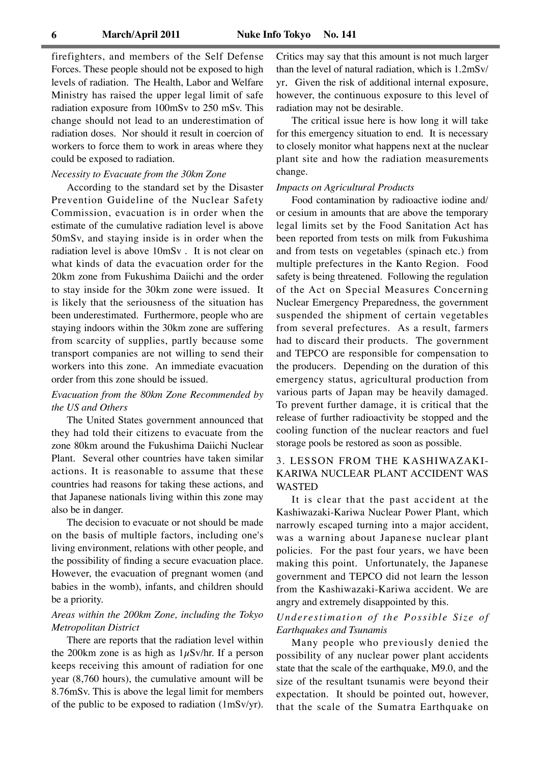firefighters, and members of the Self Defense Forces. These people should not be exposed to high levels of radiation. The Health, Labor and Welfare Ministry has raised the upper legal limit of safe radiation exposure from 100mSv to 250 mSv. This change should not lead to an underestimation of radiation doses. Nor should it result in coercion of workers to force them to work in areas where they could be exposed to radiation.

### *Necessity to Evacuate from the 30km Zone*

According to the standard set by the Disaster Prevention Guideline of the Nuclear Safety Commission, evacuation is in order when the estimate of the cumulative radiation level is above 50mSv, and staying inside is in order when the radiation level is above 10mSv . It is not clear on what kinds of data the evacuation order for the 20km zone from Fukushima Daiichi and the order to stay inside for the 30km zone were issued. It is likely that the seriousness of the situation has been underestimated. Furthermore, people who are staying indoors within the 30km zone are suffering from scarcity of supplies, partly because some transport companies are not willing to send their workers into this zone. An immediate evacuation order from this zone should be issued.

### *Evacuation from the 80km Zone Recommended by the US and Others*

The United States government announced that they had told their citizens to evacuate from the zone 80km around the Fukushima Daiichi Nuclear Plant. Several other countries have taken similar actions. It is reasonable to assume that these countries had reasons for taking these actions, and that Japanese nationals living within this zone may also be in danger.

The decision to evacuate or not should be made on the basis of multiple factors, including one's living environment, relations with other people, and the possibility of finding a secure evacuation place. However, the evacuation of pregnant women (and babies in the womb), infants, and children should be a priority.

### *Areas within the 200km Zone, including the Tokyo Metropolitan District*

There are reports that the radiation level within the 200km zone is as high as  $1\mu$ Sv/hr. If a person keeps receiving this amount of radiation for one year (8,760 hours), the cumulative amount will be 8.76mSv. This is above the legal limit for members of the public to be exposed to radiation (1mSv/yr).

Critics may say that this amount is not much larger than the level of natural radiation, which is 1.2mSv/ yr. Given the risk of additional internal exposure, however, the continuous exposure to this level of radiation may not be desirable.

The critical issue here is how long it will take for this emergency situation to end. It is necessary to closely monitor what happens next at the nuclear plant site and how the radiation measurements change.

#### *Impacts on Agricultural Products*

Food contamination by radioactive iodine and/ or cesium in amounts that are above the temporary legal limits set by the Food Sanitation Act has been reported from tests on milk from Fukushima and from tests on vegetables (spinach etc.) from multiple prefectures in the Kanto Region. Food safety is being threatened. Following the regulation of the Act on Special Measures Concerning Nuclear Emergency Preparedness, the government suspended the shipment of certain vegetables from several prefectures. As a result, farmers had to discard their products. The government and TEPCO are responsible for compensation to the producers. Depending on the duration of this emergency status, agricultural production from various parts of Japan may be heavily damaged. To prevent further damage, it is critical that the release of further radioactivity be stopped and the cooling function of the nuclear reactors and fuel storage pools be restored as soon as possible.

### 3. LESSON FROM THE KASHIWAZAKI-KARIWA NUCLEAR PLANT ACCIDENT WAS WASTED

It is clear that the past accident at the Kashiwazaki-Kariwa Nuclear Power Plant, which narrowly escaped turning into a major accident, was a warning about Japanese nuclear plant policies. For the past four years, we have been making this point. Unfortunately, the Japanese government and TEPCO did not learn the lesson from the Kashiwazaki-Kariwa accident. We are angry and extremely disappointed by this.

### *Underestimation of the Possible Size of Earthquakes and Tsunamis*

Many people who previously denied the possibility of any nuclear power plant accidents state that the scale of the earthquake, M9.0, and the size of the resultant tsunamis were beyond their expectation. It should be pointed out, however, that the scale of the Sumatra Earthquake on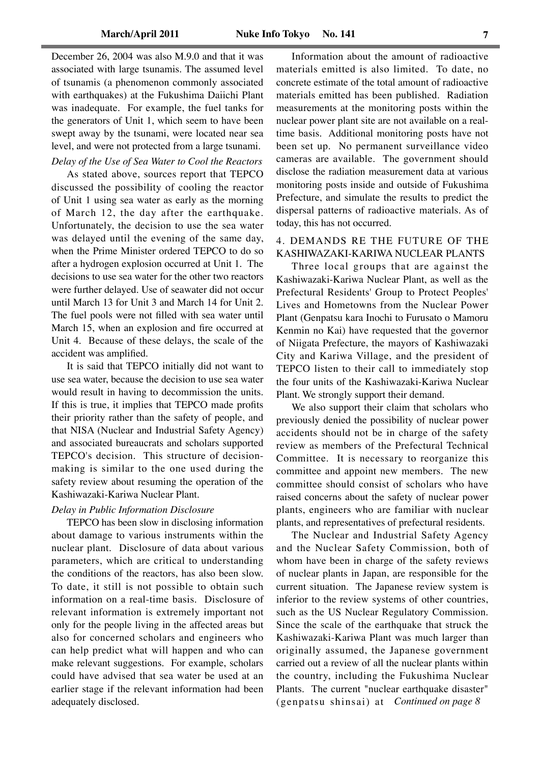December 26, 2004 was also M.9.0 and that it was associated with large tsunamis. The assumed level of tsunamis (a phenomenon commonly associated with earthquakes) at the Fukushima Daiichi Plant was inadequate. For example, the fuel tanks for the generators of Unit 1, which seem to have been swept away by the tsunami, were located near sea level, and were not protected from a large tsunami.

*Delay of the Use of Sea Water to Cool the Reactors* As stated above, sources report that TEPCO discussed the possibility of cooling the reactor of Unit 1 using sea water as early as the morning of March 12, the day after the earthquake. Unfortunately, the decision to use the sea water was delayed until the evening of the same day, when the Prime Minister ordered TEPCO to do so after a hydrogen explosion occurred at Unit 1. The decisions to use sea water for the other two reactors were further delayed. Use of seawater did not occur until March 13 for Unit 3 and March 14 for Unit 2. The fuel pools were not filled with sea water until March 15, when an explosion and fire occurred at Unit 4. Because of these delays, the scale of the accident was amplified.

It is said that TEPCO initially did not want to use sea water, because the decision to use sea water would result in having to decommission the units. If this is true, it implies that TEPCO made profits their priority rather than the safety of people, and that NISA (Nuclear and Industrial Safety Agency) and associated bureaucrats and scholars supported TEPCO's decision. This structure of decisionmaking is similar to the one used during the safety review about resuming the operation of the Kashiwazaki-Kariwa Nuclear Plant.

### *Delay in Public Information Disclosure*

TEPCO has been slow in disclosing information about damage to various instruments within the nuclear plant. Disclosure of data about various parameters, which are critical to understanding the conditions of the reactors, has also been slow. To date, it still is not possible to obtain such information on a real-time basis. Disclosure of relevant information is extremely important not only for the people living in the affected areas but also for concerned scholars and engineers who can help predict what will happen and who can make relevant suggestions. For example, scholars could have advised that sea water be used at an earlier stage if the relevant information had been adequately disclosed.

Information about the amount of radioactive materials emitted is also limited. To date, no concrete estimate of the total amount of radioactive materials emitted has been published. Radiation measurements at the monitoring posts within the nuclear power plant site are not available on a realtime basis. Additional monitoring posts have not been set up. No permanent surveillance video cameras are available. The government should disclose the radiation measurement data at various monitoring posts inside and outside of Fukushima Prefecture, and simulate the results to predict the dispersal patterns of radioactive materials. As of today, this has not occurred.

### 4. DEMANDS RE THE FUTURE OF THE KASHIWAZAKI-KARIWA NUCLEAR PLANTS

Three local groups that are against the Kashiwazaki-Kariwa Nuclear Plant, as well as the Prefectural Residents' Group to Protect Peoples' Lives and Hometowns from the Nuclear Power Plant (Genpatsu kara Inochi to Furusato o Mamoru Kenmin no Kai) have requested that the governor of Niigata Prefecture, the mayors of Kashiwazaki City and Kariwa Village, and the president of TEPCO listen to their call to immediately stop the four units of the Kashiwazaki-Kariwa Nuclear Plant. We strongly support their demand.

We also support their claim that scholars who previously denied the possibility of nuclear power accidents should not be in charge of the safety review as members of the Prefectural Technical Committee. It is necessary to reorganize this committee and appoint new members. The new committee should consist of scholars who have raised concerns about the safety of nuclear power plants, engineers who are familiar with nuclear plants, and representatives of prefectural residents.

The Nuclear and Industrial Safety Agency and the Nuclear Safety Commission, both of whom have been in charge of the safety reviews of nuclear plants in Japan, are responsible for the current situation. The Japanese review system is inferior to the review systems of other countries, such as the US Nuclear Regulatory Commission. Since the scale of the earthquake that struck the Kashiwazaki-Kariwa Plant was much larger than originally assumed, the Japanese government carried out a review of all the nuclear plants within the country, including the Fukushima Nuclear Plants. The current "nuclear earthquake disaster" (genpatsu shinsai) at *Continued on page 8*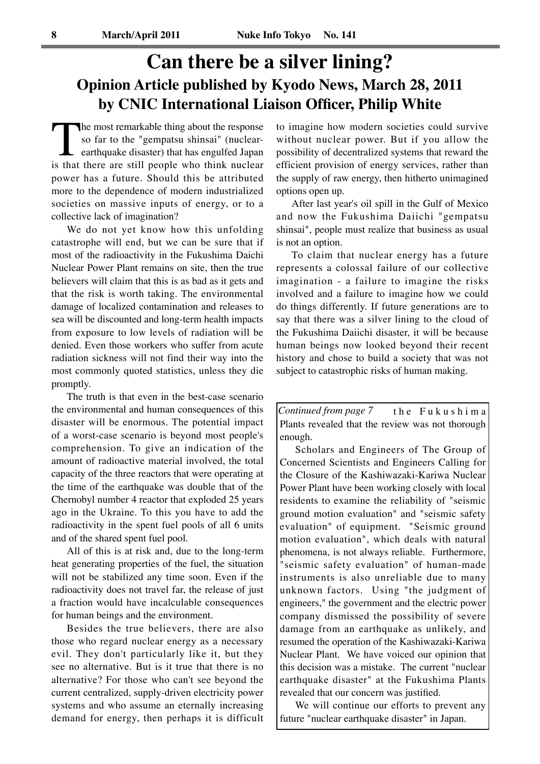# **Can there be a silver lining? Opinion Article published by Kyodo News, March 28, 2011 by CNIC International Liaison Officer, Philip White**

The most remarkable thing about the response so far to the "gempatsu shinsai" (nuclear-<br>earthquake disaster) that has engulfed Japan<br>is that there are still people who think nuclear so far to the "gempatsu shinsai" (nuclearearthquake disaster) that has engulfed Japan power has a future. Should this be attributed more to the dependence of modern industrialized societies on massive inputs of energy, or to a collective lack of imagination?

We do not yet know how this unfolding catastrophe will end, but we can be sure that if most of the radioactivity in the Fukushima Daichi Nuclear Power Plant remains on site, then the true believers will claim that this is as bad as it gets and that the risk is worth taking. The environmental damage of localized contamination and releases to sea will be discounted and long-term health impacts from exposure to low levels of radiation will be denied. Even those workers who suffer from acute radiation sickness will not find their way into the most commonly quoted statistics, unless they die promptly.

The truth is that even in the best-case scenario the environmental and human consequences of this disaster will be enormous. The potential impact of a worst-case scenario is beyond most people's comprehension. To give an indication of the amount of radioactive material involved, the total capacity of the three reactors that were operating at the time of the earthquake was double that of the Chernobyl number 4 reactor that exploded 25 years ago in the Ukraine. To this you have to add the radioactivity in the spent fuel pools of all 6 units and of the shared spent fuel pool.

All of this is at risk and, due to the long-term heat generating properties of the fuel, the situation will not be stabilized any time soon. Even if the radioactivity does not travel far, the release of just a fraction would have incalculable consequences for human beings and the environment.

Besides the true believers, there are also those who regard nuclear energy as a necessary evil. They don't particularly like it, but they see no alternative. But is it true that there is no alternative? For those who can't see beyond the current centralized, supply-driven electricity power systems and who assume an eternally increasing demand for energy, then perhaps it is difficult to imagine how modern societies could survive without nuclear power. But if you allow the possibility of decentralized systems that reward the efficient provision of energy services, rather than the supply of raw energy, then hitherto unimagined options open up.

After last year's oil spill in the Gulf of Mexico and now the Fukushima Daiichi "gempatsu shinsai", people must realize that business as usual is not an option.

To claim that nuclear energy has a future represents a colossal failure of our collective imagination - a failure to imagine the risks involved and a failure to imagine how we could do things differently. If future generations are to say that there was a silver lining to the cloud of the Fukushima Daiichi disaster, it will be because human beings now looked beyond their recent history and chose to build a society that was not subject to catastrophic risks of human making.

t h e F u k u s h i m a Plants revealed that the review was not thorough enough. *Continued from page 7*

Scholars and Engineers of The Group of Concerned Scientists and Engineers Calling for the Closure of the Kashiwazaki-Kariwa Nuclear Power Plant have been working closely with local residents to examine the reliability of "seismic ground motion evaluation" and "seismic safety evaluation" of equipment. "Seismic ground motion evaluation", which deals with natural phenomena, is not always reliable. Furthermore, "seismic safety evaluation" of human-made instruments is also unreliable due to many unknown factors. Using "the judgment of engineers," the government and the electric power company dismissed the possibility of severe damage from an earthquake as unlikely, and resumed the operation of the Kashiwazaki-Kariwa Nuclear Plant. We have voiced our opinion that this decision was a mistake. The current "nuclear earthquake disaster" at the Fukushima Plants revealed that our concern was justified.

We will continue our efforts to prevent any future "nuclear earthquake disaster" in Japan.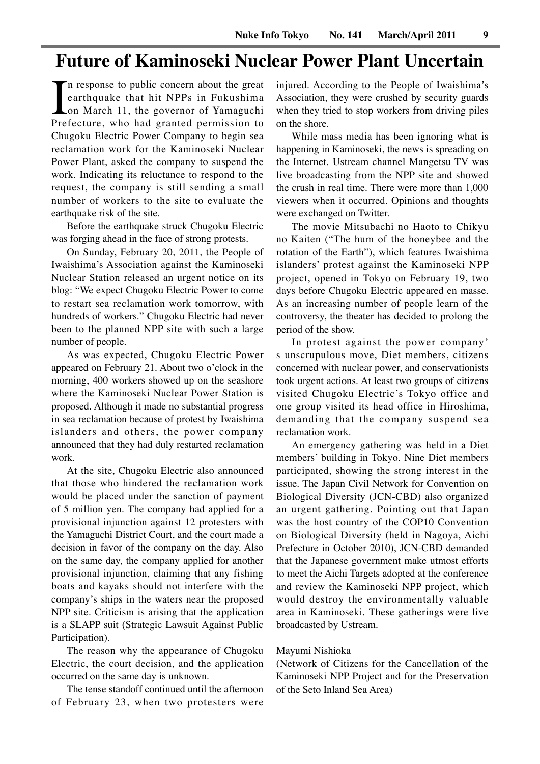# **Future of Kaminoseki Nuclear Power Plant Uncertain**

In response to public concern about the great<br>earthquake that hit NPPs in Fukushima<br>on March 11, the governor of Yamaguchi<br>Prefecture, who had granted permission to n response to public concern about the great earthquake that hit NPPs in Fukushima on March 11, the governor of Yamaguchi Chugoku Electric Power Company to begin sea reclamation work for the Kaminoseki Nuclear Power Plant, asked the company to suspend the work. Indicating its reluctance to respond to the request, the company is still sending a small number of workers to the site to evaluate the earthquake risk of the site.

Before the earthquake struck Chugoku Electric was forging ahead in the face of strong protests.

On Sunday, February 20, 2011, the People of Iwaishima's Association against the Kaminoseki Nuclear Station released an urgent notice on its blog: "We expect Chugoku Electric Power to come to restart sea reclamation work tomorrow, with hundreds of workers." Chugoku Electric had never been to the planned NPP site with such a large number of people.

As was expected, Chugoku Electric Power appeared on February 21. About two o'clock in the morning, 400 workers showed up on the seashore where the Kaminoseki Nuclear Power Station is proposed. Although it made no substantial progress in sea reclamation because of protest by Iwaishima islanders and others, the power company announced that they had duly restarted reclamation work.

At the site, Chugoku Electric also announced that those who hindered the reclamation work would be placed under the sanction of payment of 5 million yen. The company had applied for a provisional injunction against 12 protesters with the Yamaguchi District Court, and the court made a decision in favor of the company on the day. Also on the same day, the company applied for another provisional injunction, claiming that any fishing boats and kayaks should not interfere with the company's ships in the waters near the proposed NPP site. Criticism is arising that the application is a SLAPP suit (Strategic Lawsuit Against Public Participation).

The reason why the appearance of Chugoku Electric, the court decision, and the application occurred on the same day is unknown.

The tense standoff continued until the afternoon of February 23, when two protesters were injured. According to the People of Iwaishima's Association, they were crushed by security guards when they tried to stop workers from driving piles on the shore.

While mass media has been ignoring what is happening in Kaminoseki, the news is spreading on the Internet. Ustream channel Mangetsu TV was live broadcasting from the NPP site and showed the crush in real time. There were more than 1,000 viewers when it occurred. Opinions and thoughts were exchanged on Twitter.

The movie Mitsubachi no Haoto to Chikyu no Kaiten ("The hum of the honeybee and the rotation of the Earth"), which features Iwaishima islanders' protest against the Kaminoseki NPP project, opened in Tokyo on February 19, two days before Chugoku Electric appeared en masse. As an increasing number of people learn of the controversy, the theater has decided to prolong the period of the show.

In protest against the power company' s unscrupulous move, Diet members, citizens concerned with nuclear power, and conservationists took urgent actions. At least two groups of citizens visited Chugoku Electric's Tokyo office and one group visited its head office in Hiroshima, demanding that the company suspend sea reclamation work.

An emergency gathering was held in a Diet members' building in Tokyo. Nine Diet members participated, showing the strong interest in the issue. The Japan Civil Network for Convention on Biological Diversity (JCN-CBD) also organized an urgent gathering. Pointing out that Japan was the host country of the COP10 Convention on Biological Diversity (held in Nagoya, Aichi Prefecture in October 2010), JCN-CBD demanded that the Japanese government make utmost efforts to meet the Aichi Targets adopted at the conference and review the Kaminoseki NPP project, which would destroy the environmentally valuable area in Kaminoseki. These gatherings were live broadcasted by Ustream.

### Mayumi Nishioka

(Network of Citizens for the Cancellation of the Kaminoseki NPP Project and for the Preservation of the Seto Inland Sea Area)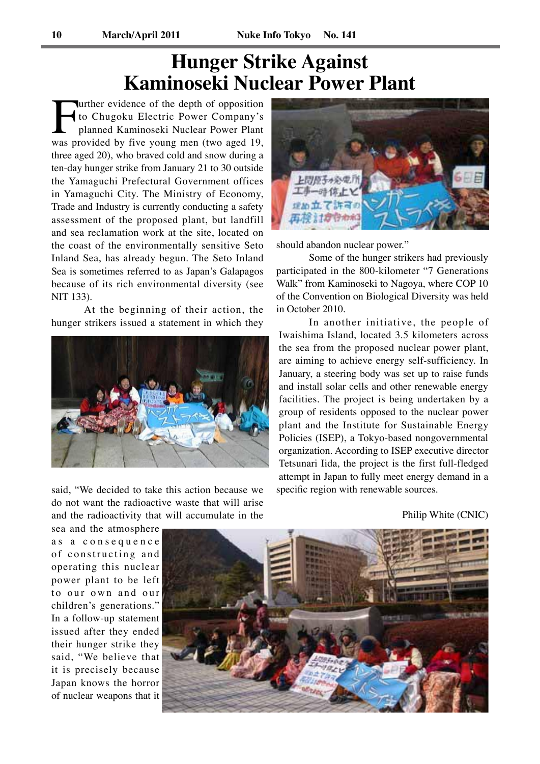# **Hunger Strike Against Kaminoseki Nuclear Power Plant**

urther evidence of the depth of opposition to Chugoku Electric Power Company's planned Kaminoseki Nuclear Power Plant was provided by five young men (two aged 19, three aged 20), who braved cold and snow during a ten-day hunger strike from January 21 to 30 outside the Yamaguchi Prefectural Government offices in Yamaguchi City. The Ministry of Economy, Trade and Industry is currently conducting a safety assessment of the proposed plant, but landfill and sea reclamation work at the site, located on the coast of the environmentally sensitive Seto Inland Sea, has already begun. The Seto Inland Sea is sometimes referred to as Japan's Galapagos because of its rich environmental diversity (see NIT 133).

At the beginning of their action, the hunger strikers issued a statement in which they



said, "We decided to take this action because we do not want the radioactive waste that will arise and the radioactivity that will accumulate in the



should abandon nuclear power."

Some of the hunger strikers had previously participated in the 800-kilometer "7 Generations Walk" from Kaminoseki to Nagoya, where COP 10 of the Convention on Biological Diversity was held in October 2010.

In another initiative, the people of Iwaishima Island, located 3.5 kilometers across the sea from the proposed nuclear power plant, are aiming to achieve energy self-sufficiency. In January, a steering body was set up to raise funds and install solar cells and other renewable energy facilities. The project is being undertaken by a group of residents opposed to the nuclear power plant and the Institute for Sustainable Energy Policies (ISEP), a Tokyo-based nongovernmental organization. According to ISEP executive director Tetsunari Iida, the project is the first full-fledged attempt in Japan to fully meet energy demand in a specific region with renewable sources.

Philip White (CNIC)

sea and the atmosphere a s a c o n s e q u e n c e of constructing and operating this nuclear power plant to be left to our own and our children's generations.' In a follow-up statement issued after they ended their hunger strike they said, "We believe that it is precisely because Japan knows the horror of nuclear weapons that it

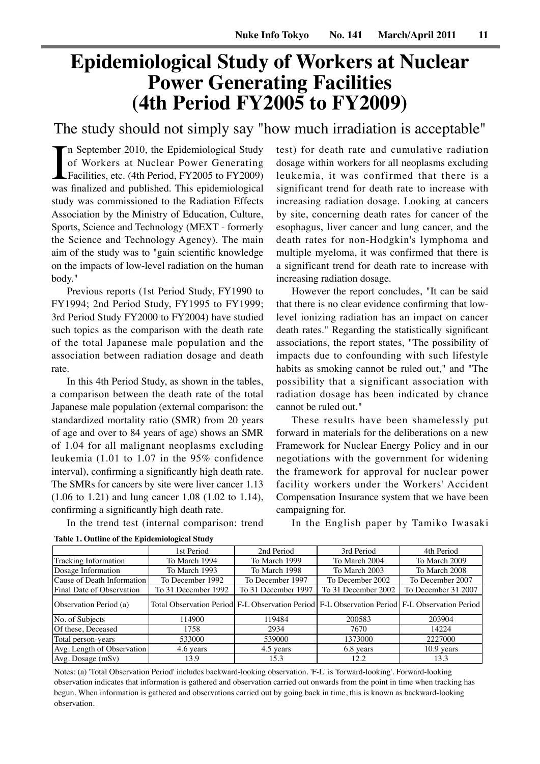# **Epidemiological Study of Workers at Nuclear Power Generating Facilities (4th Period FY2005 to FY2009)**

The study should not simply say "how much irradiation is acceptable"

In September 2010, the Epidemiological Study<br>of Workers at Nuclear Power Generating<br>Facilities, etc. (4th Period, FY2005 to FY2009)<br>was finalized and published. This epidemiological n September 2010, the Epidemiological Study of Workers at Nuclear Power Generating Facilities, etc. (4th Period, FY2005 to FY2009) study was commissioned to the Radiation Effects Association by the Ministry of Education, Culture, Sports, Science and Technology (MEXT - formerly the Science and Technology Agency). The main aim of the study was to "gain scientific knowledge on the impacts of low-level radiation on the human body."

Previous reports (1st Period Study, FY1990 to FY1994; 2nd Period Study, FY1995 to FY1999; 3rd Period Study FY2000 to FY2004) have studied such topics as the comparison with the death rate of the total Japanese male population and the association between radiation dosage and death rate.

In this 4th Period Study, as shown in the tables, a comparison between the death rate of the total Japanese male population (external comparison: the standardized mortality ratio (SMR) from 20 years of age and over to 84 years of age) shows an SMR of 1.04 for all malignant neoplasms excluding leukemia (1.01 to 1.07 in the 95% confidence interval), confirming a significantly high death rate. The SMRs for cancers by site were liver cancer 1.13 (1.06 to 1.21) and lung cancer 1.08 (1.02 to 1.14), confirming a significantly high death rate.

dosage within workers for all neoplasms excluding leukemia, it was confirmed that there is a significant trend for death rate to increase with increasing radiation dosage. Looking at cancers by site, concerning death rates for cancer of the esophagus, liver cancer and lung cancer, and the death rates for non-Hodgkin's lymphoma and multiple myeloma, it was confirmed that there is a significant trend for death rate to increase with increasing radiation dosage.

test) for death rate and cumulative radiation

However the report concludes, "It can be said that there is no clear evidence confirming that lowlevel ionizing radiation has an impact on cancer death rates." Regarding the statistically significant associations, the report states, "The possibility of impacts due to confounding with such lifestyle habits as smoking cannot be ruled out," and "The possibility that a significant association with radiation dosage has been indicated by chance cannot be ruled out."

These results have been shamelessly put forward in materials for the deliberations on a new Framework for Nuclear Energy Policy and in our negotiations with the government for widening the framework for approval for nuclear power facility workers under the Workers' Accident Compensation Insurance system that we have been campaigning for.

In the trend test (internal comparison: trend

In the English paper by Tamiko Iwasaki

|                            | 2nd Period<br>3rd Period<br>1st Period                                                             |                     |                     | 4th Period          |  |
|----------------------------|----------------------------------------------------------------------------------------------------|---------------------|---------------------|---------------------|--|
| Tracking Information       | To March 1994<br>To March 1999                                                                     |                     | To March 2004       | To March 2009       |  |
| Dosage Information         | To March 1993                                                                                      | To March 1998       | To March 2003       | To March 2008       |  |
| Cause of Death Information | To December 1992                                                                                   | To December 1997    | To December 2002    | To December 2007    |  |
| Final Date of Observation  | To 31 December 1992                                                                                | To 31 December 1997 | To 31 December 2002 | To December 31 2007 |  |
| (Observation Period (a)    | [67] Total Observation Period F-L Observation Period F-L Observation Period F-L Observation Period |                     |                     |                     |  |
| No. of Subjects            | 114900                                                                                             | 119484              | 200583              | 203904              |  |
| Of these, Deceased         | 1758                                                                                               | 2934                | 7670                | 14224               |  |
| Total person-years         | 533000                                                                                             | 539000              | 1373000             | 2227000             |  |
| Avg. Length of Observation | 4.6 years                                                                                          | 4.5 years           | 6.8 years           | $10.9$ years        |  |
| Avg. Dosage(mSv)           | 13.9                                                                                               | 15.3                | 12.2                | 13.3                |  |

**Table 1. Outline of the Epidemiological Study**

Notes: (a) 'Total Observation Period' includes backward-looking observation. 'F-L' is 'forward-looking'. Forward-looking observation indicates that information is gathered and observation carried out onwards from the point in time when tracking has begun. When information is gathered and observations carried out by going back in time, this is known as backward-looking observation.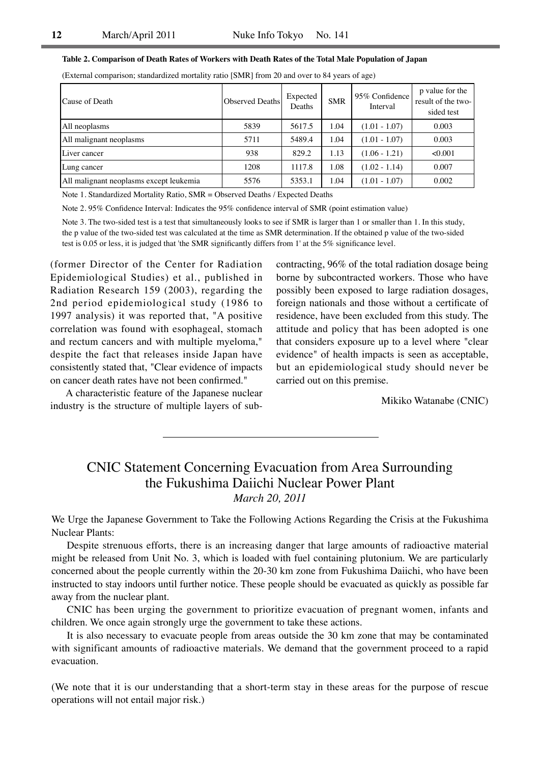|  |  | Table 2. Comparison of Death Rates of Workers with Death Rates of the Total Male Population of Japan |  |
|--|--|------------------------------------------------------------------------------------------------------|--|
|  |  |                                                                                                      |  |

(External comparison; standardized mortality ratio [SMR] from 20 and over to 84 years of age)

| Cause of Death                          | Observed Deaths | Expected<br>Deaths | <b>SMR</b> | 95% Confidence<br>Interval | p value for the<br>result of the two-<br>sided test |
|-----------------------------------------|-----------------|--------------------|------------|----------------------------|-----------------------------------------------------|
| All neoplasms                           | 5839            | 5617.5             | 1.04       | $(1.01 - 1.07)$            | 0.003                                               |
| All malignant neoplasms                 | 5711            | 5489.4             | 1.04       | $(1.01 - 1.07)$            | 0.003                                               |
| Liver cancer                            | 938             | 829.2              | 1.13       | $(1.06 - 1.21)$            | < 0.001                                             |
| Lung cancer                             | 1208            | 1117.8             | 1.08       | $(1.02 - 1.14)$            | 0.007                                               |
| All malignant neoplasms except leukemia | 5576            | 5353.1             | 1.04       | $(1.01 - 1.07)$            | 0.002                                               |

Note 1. Standardized Mortality Ratio, SMR = Observed Deaths / Expected Deaths

Note 2. 95% Confidence Interval: Indicates the 95% confidence interval of SMR (point estimation value)

Note 3. The two-sided test is a test that simultaneously looks to see if SMR is larger than 1 or smaller than 1. In this study, the p value of the two-sided test was calculated at the time as SMR determination. If the obtained p value of the two-sided test is 0.05 or less, it is judged that 'the SMR significantly differs from 1' at the 5% significance level.

(former Director of the Center for Radiation Epidemiological Studies) et al., published in Radiation Research 159 (2003), regarding the 2nd period epidemiological study (1986 to 1997 analysis) it was reported that, "A positive correlation was found with esophageal, stomach and rectum cancers and with multiple myeloma," despite the fact that releases inside Japan have consistently stated that, "Clear evidence of impacts on cancer death rates have not been confirmed."

A characteristic feature of the Japanese nuclear industry is the structure of multiple layers of subcontracting, 96% of the total radiation dosage being borne by subcontracted workers. Those who have possibly been exposed to large radiation dosages, foreign nationals and those without a certificate of residence, have been excluded from this study. The attitude and policy that has been adopted is one that considers exposure up to a level where "clear evidence" of health impacts is seen as acceptable, but an epidemiological study should never be carried out on this premise.

Mikiko Watanabe (CNIC)

# CNIC Statement Concerning Evacuation from Area Surrounding the Fukushima Daiichi Nuclear Power Plant *March 20, 2011*

We Urge the Japanese Government to Take the Following Actions Regarding the Crisis at the Fukushima Nuclear Plants:

Despite strenuous efforts, there is an increasing danger that large amounts of radioactive material might be released from Unit No. 3, which is loaded with fuel containing plutonium. We are particularly concerned about the people currently within the 20-30 km zone from Fukushima Daiichi, who have been instructed to stay indoors until further notice. These people should be evacuated as quickly as possible far away from the nuclear plant.

CNIC has been urging the government to prioritize evacuation of pregnant women, infants and children. We once again strongly urge the government to take these actions.

It is also necessary to evacuate people from areas outside the 30 km zone that may be contaminated with significant amounts of radioactive materials. We demand that the government proceed to a rapid evacuation.

(We note that it is our understanding that a short-term stay in these areas for the purpose of rescue operations will not entail major risk.)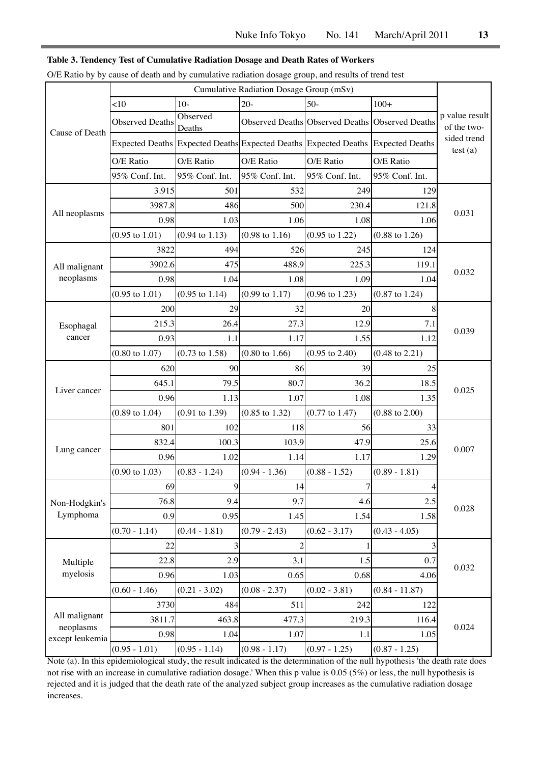#### **Table 3. Tendency Test of Cumulative Radiation Dosage and Death Rates of Workers**

|  | O/E Ratio by by cause of death and by cumulative radiation dosage group, and results of trend test |  |  |
|--|----------------------------------------------------------------------------------------------------|--|--|
|--|----------------------------------------------------------------------------------------------------|--|--|

|                              | Cumulative Radiation Dosage Group (mSv) |                           |                           |                                                                                 |                           |                               |
|------------------------------|-----------------------------------------|---------------------------|---------------------------|---------------------------------------------------------------------------------|---------------------------|-------------------------------|
| Cause of Death               | $<$ 10                                  | $10-$                     | $20 -$                    | $50-$                                                                           | $100+$                    |                               |
|                              | <b>Observed Deaths</b>                  | Observed<br>Deaths        |                           | Observed Deaths Observed Deaths Observed Deaths                                 |                           | p value result<br>of the two- |
|                              |                                         |                           |                           | Expected Deaths Expected Deaths Expected Deaths Expected Deaths Expected Deaths |                           | sided trend<br>test(a)        |
|                              | O/E Ratio                               | O/E Ratio                 | O/E Ratio                 | O/E Ratio                                                                       | O/E Ratio                 |                               |
|                              | 95% Conf. Int.                          | 95% Conf. Int.            | 95% Conf. Int.            | 95% Conf. Int.                                                                  | 95% Conf. Int.            |                               |
|                              | 3.915                                   | 501                       | 532                       | 249                                                                             | 129                       |                               |
|                              | 3987.8                                  | 486                       | 500                       | 230.4                                                                           | 121.8                     | 0.031                         |
| All neoplasms                | 0.98                                    | 1.03                      | 1.06                      | 1.08                                                                            | 1.06                      |                               |
|                              | $(0.95 \text{ to } 1.01)$               | $(0.94 \text{ to } 1.13)$ | $(0.98 \text{ to } 1.16)$ | $(0.95 \text{ to } 1.22)$                                                       | $(0.88 \text{ to } 1.26)$ |                               |
|                              | 3822                                    | 494                       | 526                       | 245                                                                             | 124                       |                               |
| All malignant                | 3902.6                                  | 475                       | 488.9                     | 225.3                                                                           | 119.1                     |                               |
| neoplasms                    | 0.98                                    | 1.04                      | 1.08                      | 1.09                                                                            | 1.04                      | 0.032                         |
|                              | $(0.95 \text{ to } 1.01)$               | $(0.95 \text{ to } 1.14)$ | $(0.99 \text{ to } 1.17)$ | $(0.96 \text{ to } 1.23)$                                                       | $(0.87 \text{ to } 1.24)$ |                               |
|                              | 200                                     | 29                        | 32                        | 20                                                                              | 8                         |                               |
| Esophagal                    | 215.3                                   | 26.4                      | 27.3                      | 12.9                                                                            | 7.1                       | 0.039                         |
| cancer                       | 0.93                                    | 1.1                       | 1.17                      | 1.55                                                                            | 1.12                      |                               |
|                              | $(0.80 \text{ to } 1.07)$               | $(0.73 \text{ to } 1.58)$ | $(0.80 \text{ to } 1.66)$ | $(0.95 \text{ to } 2.40)$                                                       | $(0.48 \text{ to } 2.21)$ |                               |
|                              | 620                                     | 90                        | 86                        | 39                                                                              | 25                        |                               |
|                              | 645.1                                   | 79.5                      | 80.7                      | 36.2                                                                            | 18.5                      |                               |
| Liver cancer                 | 0.96                                    | 1.13                      | 1.07                      | 1.08                                                                            | 1.35                      | 0.025                         |
|                              | $(0.89 \text{ to } 1.04)$               | $(0.91 \text{ to } 1.39)$ | $(0.85 \text{ to } 1.32)$ | $(0.77 \text{ to } 1.47)$                                                       | $(0.88 \text{ to } 2.00)$ |                               |
|                              | 801                                     | 102                       | 118                       | 56                                                                              | 33                        |                               |
|                              | 832.4                                   | 100.3                     | 103.9                     | 47.9                                                                            | 25.6                      |                               |
| Lung cancer                  | 0.96                                    | 1.02                      | 1.14                      | 1.17                                                                            | 1.29                      | 0.007                         |
|                              | $(0.90 \text{ to } 1.03)$               | $(0.83 - 1.24)$           | $(0.94 - 1.36)$           | $(0.88 - 1.52)$                                                                 | $(0.89 - 1.81)$           |                               |
|                              | 69                                      | Q                         | 14                        | $\tau$                                                                          | 4                         |                               |
| Non-Hodgkin's                | 76.8                                    | 9.4                       | 9.7                       | 4.6                                                                             | 2.5                       | 0.028                         |
| Lymphoma                     | 0.9                                     | 0.95                      | 1.45                      | 1.54                                                                            | 1.58                      |                               |
|                              | $(0.70 - 1.14)$                         | $(0.44 - 1.81)$           | $(0.79 - 2.43)$           | $(0.62 - 3.17)$                                                                 | $(0.43 - 4.05)$           |                               |
| Multiple<br>myelosis         | 22                                      | 3                         | $\overline{c}$            | 1                                                                               | 3                         |                               |
|                              | 22.8                                    | 2.9                       | 3.1                       | 1.5                                                                             | 0.7                       |                               |
|                              | 0.96                                    | 1.03                      | 0.65                      | 0.68                                                                            | 4.06                      | 0.032                         |
|                              | $(0.60 - 1.46)$                         | $(0.21 - 3.02)$           | $(0.08 - 2.37)$           | $(0.02 - 3.81)$                                                                 | $(0.84 - 11.87)$          |                               |
| All malignant                | 3730                                    | 484                       | 511                       | 242                                                                             | 122                       |                               |
|                              | 3811.7                                  | 463.8                     | 477.3                     | 219.3                                                                           | 116.4                     |                               |
| neoplasms<br>except leukemia | 0.98                                    | 1.04                      | 1.07                      | 1.1                                                                             | 1.05                      | 0.024                         |
|                              | $(0.95 - 1.01)$                         | $(0.95 - 1.14)$           | $(0.98 - 1.17)$           | $(0.97 - 1.25)$                                                                 | $(0.87 - 1.25)$           |                               |

Note (a). In this epidemiological study, the result indicated is the determination of the null hypothesis 'the death rate does not rise with an increase in cumulative radiation dosage.' When this p value is 0.05 (5%) or less, the null hypothesis is rejected and it is judged that the death rate of the analyzed subject group increases as the cumulative radiation dosage increases.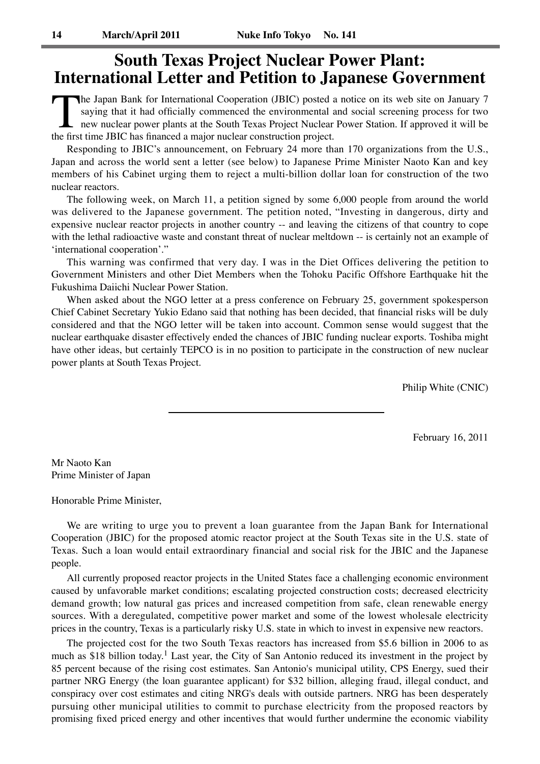# **South Texas Project Nuclear Power Plant: International Letter and Petition to Japanese Government**

The Japan Bank for International Cooperation (JBIC) posted a notice on its web site on January 7 saying that it had officially commenced the environmental and social screening process for two new nuclear power plants at th saying that it had officially commenced the environmental and social screening process for two new nuclear power plants at the South Texas Project Nuclear Power Station. If approved it will be the first time JBIC has financed a major nuclear construction project.

Responding to JBIC's announcement, on February 24 more than 170 organizations from the U.S., Japan and across the world sent a letter (see below) to Japanese Prime Minister Naoto Kan and key members of his Cabinet urging them to reject a multi-billion dollar loan for construction of the two nuclear reactors.

The following week, on March 11, a petition signed by some 6,000 people from around the world was delivered to the Japanese government. The petition noted, "Investing in dangerous, dirty and expensive nuclear reactor projects in another country -- and leaving the citizens of that country to cope with the lethal radioactive waste and constant threat of nuclear meltdown -- is certainly not an example of 'international cooperation'."

This warning was confirmed that very day. I was in the Diet Offices delivering the petition to Government Ministers and other Diet Members when the Tohoku Pacific Offshore Earthquake hit the Fukushima Daiichi Nuclear Power Station.

When asked about the NGO letter at a press conference on February 25, government spokesperson Chief Cabinet Secretary Yukio Edano said that nothing has been decided, that financial risks will be duly considered and that the NGO letter will be taken into account. Common sense would suggest that the nuclear earthquake disaster effectively ended the chances of JBIC funding nuclear exports. Toshiba might have other ideas, but certainly TEPCO is in no position to participate in the construction of new nuclear power plants at South Texas Project.

Philip White (CNIC)

February 16, 2011

Mr Naoto Kan Prime Minister of Japan

Honorable Prime Minister,

We are writing to urge you to prevent a loan guarantee from the Japan Bank for International Cooperation (JBIC) for the proposed atomic reactor project at the South Texas site in the U.S. state of Texas. Such a loan would entail extraordinary financial and social risk for the JBIC and the Japanese people.

All currently proposed reactor projects in the United States face a challenging economic environment caused by unfavorable market conditions; escalating projected construction costs; decreased electricity demand growth; low natural gas prices and increased competition from safe, clean renewable energy sources. With a deregulated, competitive power market and some of the lowest wholesale electricity prices in the country, Texas is a particularly risky U.S. state in which to invest in expensive new reactors.

The projected cost for the two South Texas reactors has increased from \$5.6 billion in 2006 to as much as \$18 billion today.<sup>1</sup> Last year, the City of San Antonio reduced its investment in the project by 85 percent because of the rising cost estimates. San Antonio's municipal utility, CPS Energy, sued their partner NRG Energy (the loan guarantee applicant) for \$32 billion, alleging fraud, illegal conduct, and conspiracy over cost estimates and citing NRG's deals with outside partners. NRG has been desperately pursuing other municipal utilities to commit to purchase electricity from the proposed reactors by promising fixed priced energy and other incentives that would further undermine the economic viability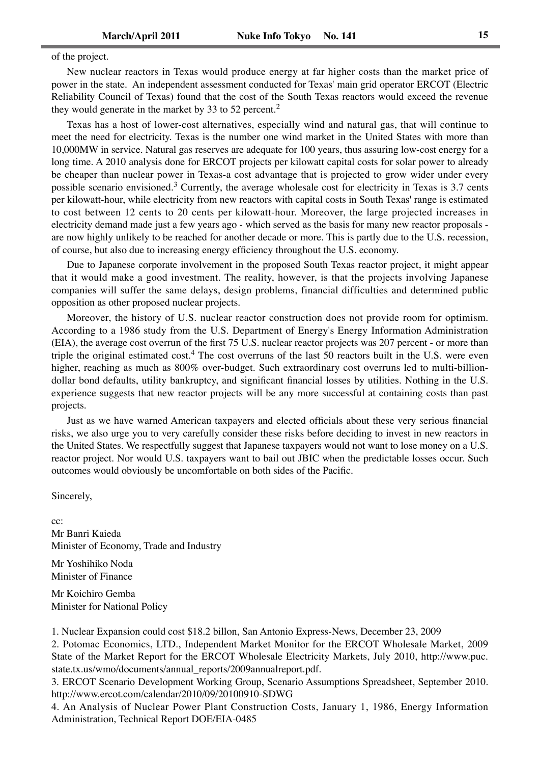of the project.

New nuclear reactors in Texas would produce energy at far higher costs than the market price of power in the state. An independent assessment conducted for Texas' main grid operator ERCOT (Electric Reliability Council of Texas) found that the cost of the South Texas reactors would exceed the revenue they would generate in the market by 33 to 52 percent.<sup>2</sup>

Texas has a host of lower-cost alternatives, especially wind and natural gas, that will continue to meet the need for electricity. Texas is the number one wind market in the United States with more than 10,000MW in service. Natural gas reserves are adequate for 100 years, thus assuring low-cost energy for a long time. A 2010 analysis done for ERCOT projects per kilowatt capital costs for solar power to already be cheaper than nuclear power in Texas-a cost advantage that is projected to grow wider under every possible scenario envisioned.3 Currently, the average wholesale cost for electricity in Texas is 3.7 cents per kilowatt-hour, while electricity from new reactors with capital costs in South Texas' range is estimated to cost between 12 cents to 20 cents per kilowatt-hour. Moreover, the large projected increases in electricity demand made just a few years ago - which served as the basis for many new reactor proposals are now highly unlikely to be reached for another decade or more. This is partly due to the U.S. recession, of course, but also due to increasing energy efficiency throughout the U.S. economy.

Due to Japanese corporate involvement in the proposed South Texas reactor project, it might appear that it would make a good investment. The reality, however, is that the projects involving Japanese companies will suffer the same delays, design problems, financial difficulties and determined public opposition as other proposed nuclear projects.

Moreover, the history of U.S. nuclear reactor construction does not provide room for optimism. According to a 1986 study from the U.S. Department of Energy's Energy Information Administration (EIA), the average cost overrun of the first 75 U.S. nuclear reactor projects was 207 percent - or more than triple the original estimated cost.<sup>4</sup> The cost overruns of the last 50 reactors built in the U.S. were even higher, reaching as much as 800% over-budget. Such extraordinary cost overruns led to multi-billiondollar bond defaults, utility bankruptcy, and significant financial losses by utilities. Nothing in the U.S. experience suggests that new reactor projects will be any more successful at containing costs than past projects.

Just as we have warned American taxpayers and elected officials about these very serious financial risks, we also urge you to very carefully consider these risks before deciding to invest in new reactors in the United States. We respectfully suggest that Japanese taxpayers would not want to lose money on a U.S. reactor project. Nor would U.S. taxpayers want to bail out JBIC when the predictable losses occur. Such outcomes would obviously be uncomfortable on both sides of the Pacific.

Sincerely,

cc: Mr Banri Kaieda Minister of Economy, Trade and Industry

Mr Yoshihiko Noda Minister of Finance

Mr Koichiro Gemba Minister for National Policy

1. Nuclear Expansion could cost \$18.2 billon, San Antonio Express-News, December 23, 2009

2. Potomac Economics, LTD., Independent Market Monitor for the ERCOT Wholesale Market, 2009 State of the Market Report for the ERCOT Wholesale Electricity Markets, July 2010, http://www.puc. state.tx.us/wmo/documents/annual\_reports/2009annualreport.pdf.

3. ERCOT Scenario Development Working Group, Scenario Assumptions Spreadsheet, September 2010. http://www.ercot.com/calendar/2010/09/20100910-SDWG

4. An Analysis of Nuclear Power Plant Construction Costs, January 1, 1986, Energy Information Administration, Technical Report DOE/EIA-0485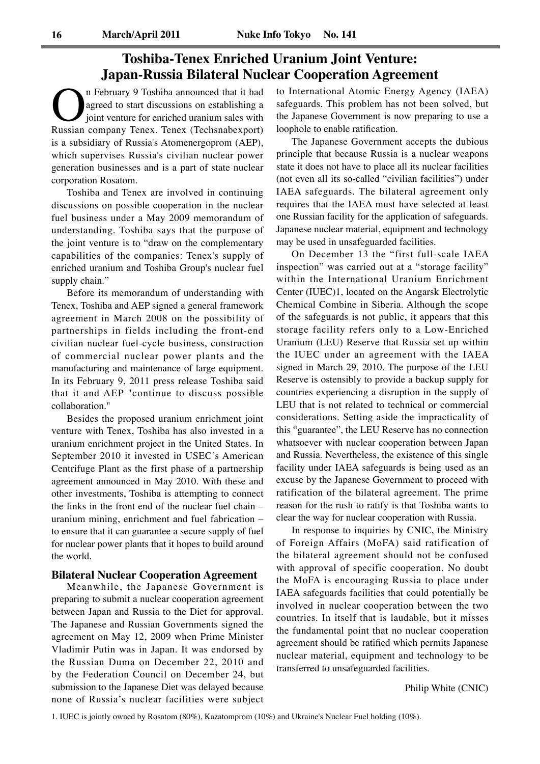# **Toshiba-Tenex Enriched Uranium Joint Venture: Japan-Russia Bilateral Nuclear Cooperation Agreement**

**On** February 9 Toshiba announced that it had agreed to start discussions on establishing a joint venture for enriched uranium sales with Russian company Tenex. Tenex (Techsnabexport) agreed to start discussions on establishing a joint venture for enriched uranium sales with is a subsidiary of Russia's Atomenergoprom (AEP), which supervises Russia's civilian nuclear power generation businesses and is a part of state nuclear corporation Rosatom.

Toshiba and Tenex are involved in continuing discussions on possible cooperation in the nuclear fuel business under a May 2009 memorandum of understanding. Toshiba says that the purpose of the joint venture is to "draw on the complementary capabilities of the companies: Tenex's supply of enriched uranium and Toshiba Group's nuclear fuel supply chain."

Before its memorandum of understanding with Tenex, Toshiba and AEP signed a general framework agreement in March 2008 on the possibility of partnerships in fields including the front-end civilian nuclear fuel-cycle business, construction of commercial nuclear power plants and the manufacturing and maintenance of large equipment. In its February 9, 2011 press release Toshiba said that it and AEP "continue to discuss possible collaboration."

Besides the proposed uranium enrichment joint venture with Tenex, Toshiba has also invested in a uranium enrichment project in the United States. In September 2010 it invested in USEC's American Centrifuge Plant as the first phase of a partnership agreement announced in May 2010. With these and other investments, Toshiba is attempting to connect the links in the front end of the nuclear fuel chain – uranium mining, enrichment and fuel fabrication – to ensure that it can guarantee a secure supply of fuel for nuclear power plants that it hopes to build around the world.

#### **Bilateral Nuclear Cooperation Agreement**

Meanwhile, the Japanese Government is preparing to submit a nuclear cooperation agreement between Japan and Russia to the Diet for approval. The Japanese and Russian Governments signed the agreement on May 12, 2009 when Prime Minister Vladimir Putin was in Japan. It was endorsed by the Russian Duma on December 22, 2010 and by the Federation Council on December 24, but submission to the Japanese Diet was delayed because none of Russia's nuclear facilities were subject

to International Atomic Energy Agency (IAEA) safeguards. This problem has not been solved, but the Japanese Government is now preparing to use a loophole to enable ratification.

The Japanese Government accepts the dubious principle that because Russia is a nuclear weapons state it does not have to place all its nuclear facilities (not even all its so-called "civilian facilities") under IAEA safeguards. The bilateral agreement only requires that the IAEA must have selected at least one Russian facility for the application of safeguards. Japanese nuclear material, equipment and technology may be used in unsafeguarded facilities.

On December 13 the "first full-scale IAEA inspection" was carried out at a "storage facility" within the International Uranium Enrichment Center (IUEC)1, located on the Angarsk Electrolytic Chemical Combine in Siberia. Although the scope of the safeguards is not public, it appears that this storage facility refers only to a Low-Enriched Uranium (LEU) Reserve that Russia set up within the IUEC under an agreement with the IAEA signed in March 29, 2010. The purpose of the LEU Reserve is ostensibly to provide a backup supply for countries experiencing a disruption in the supply of LEU that is not related to technical or commercial considerations. Setting aside the impracticality of this "guarantee", the LEU Reserve has no connection whatsoever with nuclear cooperation between Japan and Russia. Nevertheless, the existence of this single facility under IAEA safeguards is being used as an excuse by the Japanese Government to proceed with ratification of the bilateral agreement. The prime reason for the rush to ratify is that Toshiba wants to clear the way for nuclear cooperation with Russia.

In response to inquiries by CNIC, the Ministry of Foreign Affairs (MoFA) said ratification of the bilateral agreement should not be confused with approval of specific cooperation. No doubt the MoFA is encouraging Russia to place under IAEA safeguards facilities that could potentially be involved in nuclear cooperation between the two countries. In itself that is laudable, but it misses the fundamental point that no nuclear cooperation agreement should be ratified which permits Japanese nuclear material, equipment and technology to be transferred to unsafeguarded facilities.

Philip White (CNIC)

1. IUEC is jointly owned by Rosatom (80%), Kazatomprom (10%) and Ukraine's Nuclear Fuel holding (10%).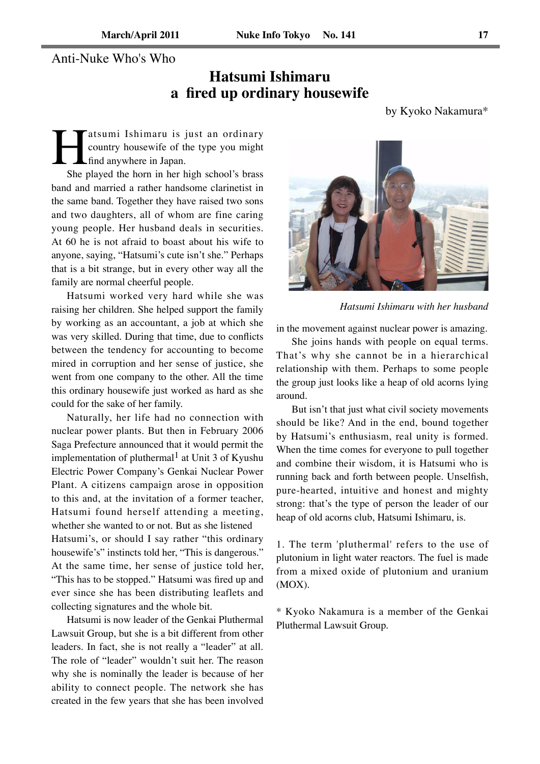### Anti-Nuke Who's Who

# **Hatsumi Ishimaru a fired up ordinary housewife**

by Kyoko Nakamura\*

**Hatsumi Ishimaru is just an ordinary**<br>country housewife of the type you might<br>find anywhere in Japan.<br>She played the horn in her high school's brass country housewife of the type you might find anywhere in Japan.

She played the horn in her high school's brass band and married a rather handsome clarinetist in the same band. Together they have raised two sons and two daughters, all of whom are fine caring young people. Her husband deals in securities. At 60 he is not afraid to boast about his wife to anyone, saying, "Hatsumi's cute isn't she." Perhaps that is a bit strange, but in every other way all the family are normal cheerful people.

Hatsumi worked very hard while she was raising her children. She helped support the family by working as an accountant, a job at which she was very skilled. During that time, due to conflicts between the tendency for accounting to become mired in corruption and her sense of justice, she went from one company to the other. All the time this ordinary housewife just worked as hard as she could for the sake of her family.

Naturally, her life had no connection with nuclear power plants. But then in February 2006 Saga Prefecture announced that it would permit the implementation of pluthermal<sup>1</sup> at Unit 3 of Kyushu Electric Power Company's Genkai Nuclear Power Plant. A citizens campaign arose in opposition to this and, at the invitation of a former teacher, Hatsumi found herself attending a meeting, whether she wanted to or not. But as she listened Hatsumi's, or should I say rather "this ordinary housewife's" instincts told her, "This is dangerous." At the same time, her sense of justice told her, "This has to be stopped." Hatsumi was fired up and ever since she has been distributing leaflets and collecting signatures and the whole bit.

Hatsumi is now leader of the Genkai Pluthermal Lawsuit Group, but she is a bit different from other leaders. In fact, she is not really a "leader" at all. The role of "leader" wouldn't suit her. The reason why she is nominally the leader is because of her ability to connect people. The network she has created in the few years that she has been involved



*Hatsumi Ishimaru with her husband*

in the movement against nuclear power is amazing.

She joins hands with people on equal terms. That's why she cannot be in a hierarchical relationship with them. Perhaps to some people the group just looks like a heap of old acorns lying around.

But isn't that just what civil society movements should be like? And in the end, bound together by Hatsumi's enthusiasm, real unity is formed. When the time comes for everyone to pull together and combine their wisdom, it is Hatsumi who is running back and forth between people. Unselfish, pure-hearted, intuitive and honest and mighty strong: that's the type of person the leader of our heap of old acorns club, Hatsumi Ishimaru, is.

1. The term 'pluthermal' refers to the use of plutonium in light water reactors. The fuel is made from a mixed oxide of plutonium and uranium  $(MOX)$ .

\* Kyoko Nakamura is a member of the Genkai Pluthermal Lawsuit Group.